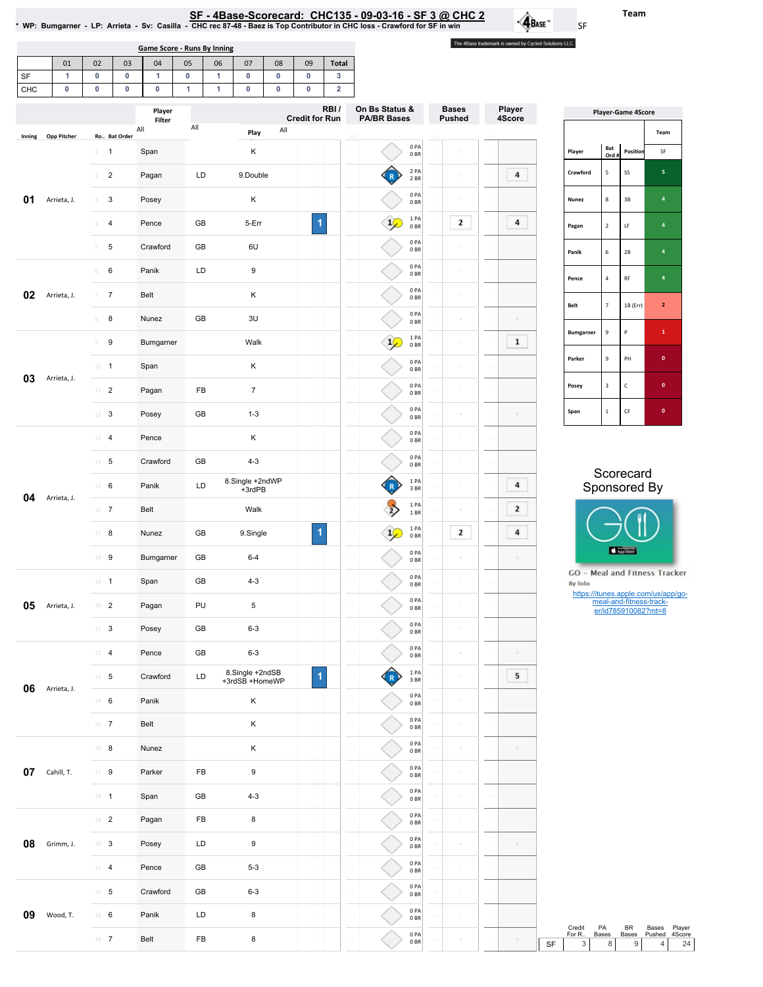| SF-4Base-Scorecard: CHC135-09-03-16-SF3@CHC2                                                                               |
|----------------------------------------------------------------------------------------------------------------------------|
| * WP: Bumgarner - LP: Arrieta - Sv: Casilla - CHC rec 87-48 - Baez is Top Contributor in CHC loss - Crawford for SF in win |

01 02 03 04 05 06 07 08 09 Total

Game Score - Runs By Inning

SF

Team

The 4Base trademark is owned by Cycled Solutions LLC.

 $\hat{\mathbf{A}}_{\text{Base}}$ 

| SF     | 1                  | $\pmb{0}$               | $\bf{0}$    | $\mathbf{1}$          | 0            | $\mathbf{1}$ | $\mathbf 0$                       | $\bf{0}$  | $\bf{0}$              | $\mathbf{3}$           |                    |                                                               |               |              |                                                |                         |                                                                         |                                          |
|--------|--------------------|-------------------------|-------------|-----------------------|--------------|--------------|-----------------------------------|-----------|-----------------------|------------------------|--------------------|---------------------------------------------------------------|---------------|--------------|------------------------------------------------|-------------------------|-------------------------------------------------------------------------|------------------------------------------|
| CHC    | 0                  | $\pmb{0}$               | $\mathbf 0$ | $\mathbf 0$<br>Player | $\mathbf{1}$ | $\mathbf{1}$ | $\mathbf 0$                       | $\pmb{0}$ | $\pmb{0}$             | $\overline{2}$<br>RBI/ | On Bs Status &     |                                                               | <b>Bases</b>  | Player       |                                                |                         |                                                                         |                                          |
|        |                    |                         |             | Filter<br>All         | All          |              |                                   | All       | <b>Credit for Run</b> |                        | <b>PA/BR Bases</b> |                                                               | <b>Pushed</b> | 4Score       |                                                |                         | <b>Player-Game 4Score</b>                                               |                                          |
| Inning | <b>Opp Pitcher</b> | Ro Bat Order            |             |                       |              |              | Play                              |           |                       |                        |                    | 0PA                                                           |               |              |                                                | Bat                     |                                                                         | Team                                     |
|        |                    | $1 \quad 1$             |             | Span                  |              |              | Κ                                 |           |                       |                        |                    | 0BR<br>2 PA                                                   |               |              | Player                                         | Ord #                   | Position                                                                | SF<br>5 <sub>1</sub>                     |
|        |                    | $\overline{2}$<br>$2 -$ |             | Pagan                 | LD           |              | 9.Double                          |           |                       |                        |                    | 2 BR                                                          | $\sim$        | 4            | Crawford                                       | $5\phantom{.0}$         | SS                                                                      |                                          |
| 01     | Arrieta, J.        | 3<br>3                  |             | Posey                 |              |              | Κ                                 |           |                       |                        |                    | 0PA<br>0 <sub>BR</sub>                                        | $\equiv$      |              | Nunez                                          | $\bf8$                  | $3\,\mathrm{B}$                                                         | $\overline{\mathbf{4}}$                  |
|        |                    | $\overline{4}$<br>4     |             | Pence                 | GB           |              | 5-Err                             |           | $\blacktriangleleft$  |                        | $\frac{1}{2}$      | 1 PA<br>0BR                                                   | 2             | 4            | Pagan                                          | $\overline{2}$          | $\mathsf{LF}% _{0}\left( t\right) \equiv\mathsf{LF}_{0}\left( t\right)$ | $\overline{\mathbf{4}}$                  |
|        |                    | 5 <sub>5</sub>          |             | Crawford              | GB           |              | 6U                                |           |                       |                        |                    | 0PA<br>0BR                                                    |               |              | Panik                                          | $\,$ 6 $\,$             | $2B$                                                                    | $\overline{\mathbf{4}}$                  |
|        |                    | $6\qquad 6$             |             | Panik                 | LD           |              | 9                                 |           |                       |                        |                    | 0PA<br>0BR                                                    | $\sim$        | $\equiv$     | Pence                                          | $\sqrt{4}$              | $\mathsf{RF}$                                                           | $\overline{\mathbf{4}}$                  |
| 02     | Arrieta, J.        | $7 - 7$                 |             | Belt                  |              |              | Κ                                 |           |                       |                        |                    | 0PA<br>0 <sub>BR</sub>                                        | $\sim$        |              |                                                |                         |                                                                         |                                          |
|        |                    | 8                       |             | Nunez                 | GB           |              | 3U                                |           |                       |                        |                    | 0PA<br>0 <sub>BR</sub>                                        | $\equiv$      |              | Belt                                           | $\overline{7}$          | 1B (Err)                                                                | $\overline{2}$                           |
|        |                    | $9$ 9                   |             | Bumgarner             |              |              | Walk                              |           |                       |                        | $\frac{1}{2}$      | 1PA<br>0BR                                                    | $\equiv$      | $\mathbf{1}$ | Bumgarner                                      | $\mathsf g$             | $\, {\sf p}$                                                            | $\mathbf{1}$                             |
|        |                    | $10 - 1$                |             | Span                  |              |              | Κ                                 |           |                       |                        |                    | 0PA<br>0BR                                                    | $\sim$        |              | Parker                                         | $\mathsf g$             | PH                                                                      | $\mathbf{0}$                             |
| 03     | Arrieta, J.        | $11$ – $2$              |             | Pagan                 | FB           |              | $\overline{7}$                    |           |                       |                        |                    | 0PA<br>0BR                                                    | ÷             | $\equiv$     | Posey                                          | $\overline{\mathbf{3}}$ | $\mathsf{C}$                                                            | $\mathbf{0}$                             |
|        |                    | $12 \t3$                |             | Posey                 | GB           |              | $1 - 3$                           |           |                       |                        |                    | 0PA                                                           | $\sim$        |              | Span                                           | $\,$ 1 $\,$             | $\mathsf{CF}$                                                           | $\mathbf{0}$                             |
|        |                    | 13 4                    |             | Pence                 |              |              | Κ                                 |           |                       |                        |                    | 0B<br>0PA                                                     | $\sim$        |              |                                                |                         |                                                                         |                                          |
|        |                    |                         |             |                       |              |              |                                   |           |                       |                        |                    | 0 <sub>BR</sub><br>0PA                                        |               |              |                                                |                         |                                                                         |                                          |
|        |                    | $14 - 5$                |             | Crawford              | GB           |              | $4 - 3$<br>8.Single +2ndWP        |           |                       |                        |                    | 0BR<br>1PA                                                    | $\sim$        | $\equiv$     | Scorecard                                      |                         |                                                                         |                                          |
| 04     | Arrieta, J.        | $15 \t 6$               |             | Panik                 | LD           |              | +3rdPB                            |           |                       |                        | R                  | 3BR<br>1 PA                                                   | $\sim$        | 4            |                                                |                         | Sponsored By                                                            |                                          |
|        |                    | $16$ 7                  |             | Belt                  |              |              | Walk                              |           |                       |                        | $\rightarrow$      | 1BR                                                           |               | $\mathbf{z}$ |                                                |                         |                                                                         |                                          |
|        |                    | 17 8                    |             | Nunez                 | GB           |              | 9.Single                          |           | $\blacktriangleleft$  |                        | $\mathcal{L}$      | 1PA<br>0BR                                                    | $\mathbf{2}$  | 4            |                                                |                         |                                                                         |                                          |
|        |                    | 18 9                    |             | Bumgarner             | GB           |              | $6 - 4$                           |           |                       |                        |                    | 0PA<br>0 <sub>BR</sub>                                        | $\sim$        |              | GO - Meal and Fitness Tracker                  |                         | App Store                                                               |                                          |
|        |                    | $19 - 1$                |             | Span                  | GB           |              | $4 - 3$                           |           |                       |                        |                    | 0PA<br>0BR                                                    | $\equiv$      | $\equiv$     | By Iolo<br>https://itunes.apple.com/us/app/go- |                         |                                                                         |                                          |
| 05     | Arrieta, J.        | $20 - 2$                |             | Pagan                 | PU           |              | 5                                 |           |                       |                        |                    | 0PA<br>0B                                                     | $\sim$        | $\equiv$     |                                                |                         | meal-and-fitness-track-<br>er/id785910082?mt=8                          |                                          |
|        |                    | 3<br>21                 |             | Posey                 | GB           |              | $6 - 3$                           |           |                       |                        |                    | 0PA<br>0 BR                                                   |               |              |                                                |                         |                                                                         |                                          |
|        |                    | $22 - 4$                |             | Pence                 | GB           |              | $6 - 3$                           |           |                       |                        |                    | 0 PA<br>0 B R                                                 | $\sim$        | $\equiv$     |                                                |                         |                                                                         |                                          |
|        |                    | $23 - 5$                |             | Crawford              | LD           |              | 8.Single +2ndSB<br>+3rdSB +HomeWP |           | $\overline{1}$        |                        |                    | 1PA<br>3 BR                                                   | $\bar{a}$     | 5            |                                                |                         |                                                                         |                                          |
| 06     | Arrieta, J.        | 24 6                    |             | Panik                 |              |              | Κ                                 |           |                       |                        |                    | 0PA<br>$0\,\mathrm{BR}$                                       | $\sim$        | $\equiv$     |                                                |                         |                                                                         |                                          |
|        |                    | $25 - 7$                |             | Belt                  |              |              | Κ                                 |           |                       |                        |                    | $\begin{array}{c} 0 \ \text{PA} \\ 0 \ \text{BR} \end{array}$ | $\equiv$      |              |                                                |                         |                                                                         |                                          |
|        |                    | $26$ 8                  |             | Nunez                 |              |              | Κ                                 |           |                       |                        |                    | 0PA<br>$0\;\mathrm{BR}$                                       | $\equiv$      |              |                                                |                         |                                                                         |                                          |
| 07     | Cahill, T.         | $27 - 9$                |             | Parker                | FB           |              | 9                                 |           |                       |                        |                    | 0 PA                                                          | $\equiv$      | $\equiv$     |                                                |                         |                                                                         |                                          |
|        |                    |                         |             |                       |              |              |                                   |           |                       |                        |                    | 0B<br>0 PA                                                    | $\equiv$      | $\equiv$     |                                                |                         |                                                                         |                                          |
|        |                    | $28 - 1$                |             | Span                  | GB           |              | $4 - 3$                           |           |                       |                        |                    | 0B<br>0PA                                                     |               |              |                                                |                         |                                                                         |                                          |
|        |                    | $29 - 2$                |             | Pagan                 | FB           |              | 8                                 |           |                       |                        |                    | 0B<br>0 PA                                                    | $\sim$        | $\equiv$     |                                                |                         |                                                                         |                                          |
|        | 08 Grimm, J.       | $30-3$                  |             | Posey                 | LD           |              | 9                                 |           |                       |                        |                    | $0\;\mathrm{BR}$                                              | $\equiv$      |              |                                                |                         |                                                                         |                                          |
|        |                    | $31 - 4$                |             | Pence                 | GB           |              | $5 - 3$                           |           |                       |                        |                    | 0 PA<br>0B                                                    | $\equiv$      |              |                                                |                         |                                                                         |                                          |
|        |                    | $32 - 5$                |             | Crawford              | GB           |              | $6 - 3$                           |           |                       |                        |                    | 0PA<br>0B                                                     | $\sim$        | $\equiv$     |                                                |                         |                                                                         |                                          |
| 09     | Wood, T.           | 33 6                    |             | Panik                 | LD           |              | 8                                 |           |                       |                        |                    | $0$ PA<br>0B                                                  | $\sim$        | $\equiv$     |                                                |                         |                                                                         |                                          |
|        |                    | $34 - 7$                |             | Belt                  | FB           |              | 8                                 |           |                       |                        |                    | 0PA<br>0BR                                                    |               |              | Credit<br>For R<br>SF<br>3                     | PA<br>Bases<br>8        | BR<br>Bases<br>9                                                        | Bases<br>Player<br>Pushed<br>4Score<br>4 |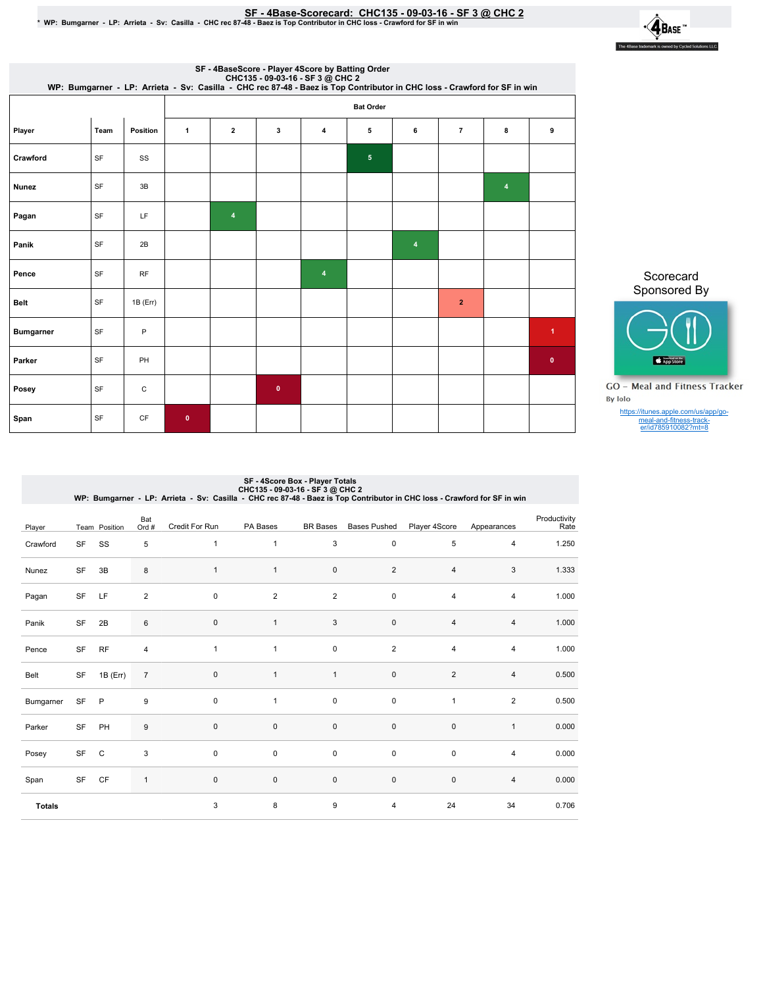<u>SF - 4Base-Scorecard: CHC135 - 09-03-16 - SF 3 @ CHC 2</u><br>• WP: Bumgarner - LP: Arrieta - Sv: Casilla - CHC rec 87-48 - Baez is Top Contributor in CHC loss - Crawford for SF in win



|                  |      |             | CHC135 - 09-03-16 - SF 3 @ CHC 2<br>WP: Bumgarner - LP: Arrieta - Sv: Casilla - CHC rec 87-48 - Baez is Top Contributor in CHC loss - Crawford for SF in win |                         | SF - 4BaseScore - Player 4Score by Batting Order |                |                 |                |                |                |                |  |  |
|------------------|------|-------------|--------------------------------------------------------------------------------------------------------------------------------------------------------------|-------------------------|--------------------------------------------------|----------------|-----------------|----------------|----------------|----------------|----------------|--|--|
|                  |      |             | <b>Bat Order</b>                                                                                                                                             |                         |                                                  |                |                 |                |                |                |                |  |  |
| Player           | Team | Position    | $\mathbf{1}$                                                                                                                                                 | $\overline{2}$          | 3                                                | $\overline{4}$ | 5               | 6              | $\overline{7}$ | 8              | 9              |  |  |
| Crawford         | SF   | SS          |                                                                                                                                                              |                         |                                                  |                | $5\phantom{.0}$ |                |                |                |                |  |  |
| <b>Nunez</b>     | SF   | 3B          |                                                                                                                                                              |                         |                                                  |                |                 |                |                | $\overline{4}$ |                |  |  |
| Pagan            | SF   | LF          |                                                                                                                                                              | $\overline{\mathbf{4}}$ |                                                  |                |                 |                |                |                |                |  |  |
| Panik            | SF   | 2B          |                                                                                                                                                              |                         |                                                  |                |                 | $\overline{4}$ |                |                |                |  |  |
| Pence            | SF   | <b>RF</b>   |                                                                                                                                                              |                         |                                                  | $\overline{4}$ |                 |                |                |                |                |  |  |
| <b>Belt</b>      | SF   | 1B (Err)    |                                                                                                                                                              |                         |                                                  |                |                 |                | $\overline{2}$ |                |                |  |  |
| <b>Bumgarner</b> | SF   | P           |                                                                                                                                                              |                         |                                                  |                |                 |                |                |                | $\overline{1}$ |  |  |
| Parker           | SF   | PH          |                                                                                                                                                              |                         |                                                  |                |                 |                |                |                | $\mathbf{0}$   |  |  |
| Posey            | SF   | $\mathsf C$ |                                                                                                                                                              |                         | $\pmb{0}$                                        |                |                 |                |                |                |                |  |  |
| Span             | SF   | CF          | $\mathbf 0$                                                                                                                                                  |                         |                                                  |                |                 |                |                |                |                |  |  |





**GO** - Meal and Fitness Tracker By Iolo

https://itunes.apple.com/us/app/go-meal-and-fitness-track-er/id785910082?mt=8

## SF - 4Score Box - Player Totals<br>CHC135 - 09-03-16<br>WP: Bumgarner - LP: Arrieta - Sv: Casilla - CHC rec 87-48 - Baez is Top Contributor in CHC loss - Crawford for SF in win

| Player        |      | Team Position | Bat<br>Ord #     | Credit For Run | PA Bases     | <b>BR</b> Bases  | Bases Pushed        | Player 4Score  | Appearances    | Productivity<br>Rate |
|---------------|------|---------------|------------------|----------------|--------------|------------------|---------------------|----------------|----------------|----------------------|
| Crawford      | SF   | SS            | $\,$ 5 $\,$      | 1              | $\mathbf{1}$ | 3                | $\mathbf 0$         | 5              | $\overline{4}$ | 1.250                |
| Nunez         | SF   | 3B            | $\bf 8$          | 1              | $\mathbf{1}$ | $\mathsf 0$      | $\overline{c}$      | $\overline{4}$ | 3              | 1.333                |
| Pagan         | SF   | LF            | $\overline{2}$   | $\pmb{0}$      | 2            | $\overline{2}$   | $\pmb{0}$           | $\overline{4}$ | $\overline{4}$ | 1.000                |
| Panik         | SF   | 2B            | $\,6\,$          | $\pmb{0}$      | $\mathbf{1}$ | 3                | $\mathsf{O}\xspace$ | 4              | $\overline{4}$ | 1.000                |
| Pence         | SF   | <b>RF</b>     | $\overline{4}$   | $\mathbf{1}$   | $\mathbf{1}$ | $\mathsf 0$      | $\overline{2}$      | $\overline{4}$ | 4              | 1.000                |
| Belt          | SF   | 1B (Err)      | $\overline{7}$   | $\mathsf 0$    | $\mathbf{1}$ | $\mathbf{1}$     | $\mathsf{O}\xspace$ | $\overline{2}$ | $\overline{4}$ | 0.500                |
| Bumgarner     | SF   | $\mathsf{P}$  | $\boldsymbol{9}$ | $\pmb{0}$      | $\mathbf{1}$ | $\mathsf 0$      | $\pmb{0}$           | $\mathbf{1}$   | $\overline{2}$ | 0.500                |
| Parker        | SF   | PH            | $9\,$            | $\pmb{0}$      | $\pmb{0}$    | $\pmb{0}$        | $\pmb{0}$           | $\pmb{0}$      | $\mathbf{1}$   | 0.000                |
| Posey         | SF C |               | $\mathsf 3$      | $\mathbf 0$    | $\mathsf 0$  | $\pmb{0}$        | $\mathsf 0$         | $\pmb{0}$      | $\overline{4}$ | 0.000                |
| Span          | SF   | CF            | $\overline{1}$   | $\mathsf 0$    | $\pmb{0}$    | $\mathsf 0$      | $\mathsf{O}\xspace$ | $\mathsf 0$    | $\overline{4}$ | 0.000                |
| <b>Totals</b> |      |               |                  | 3              | 8            | $\boldsymbol{9}$ | $\overline{4}$      | 24             | 34             | 0.706                |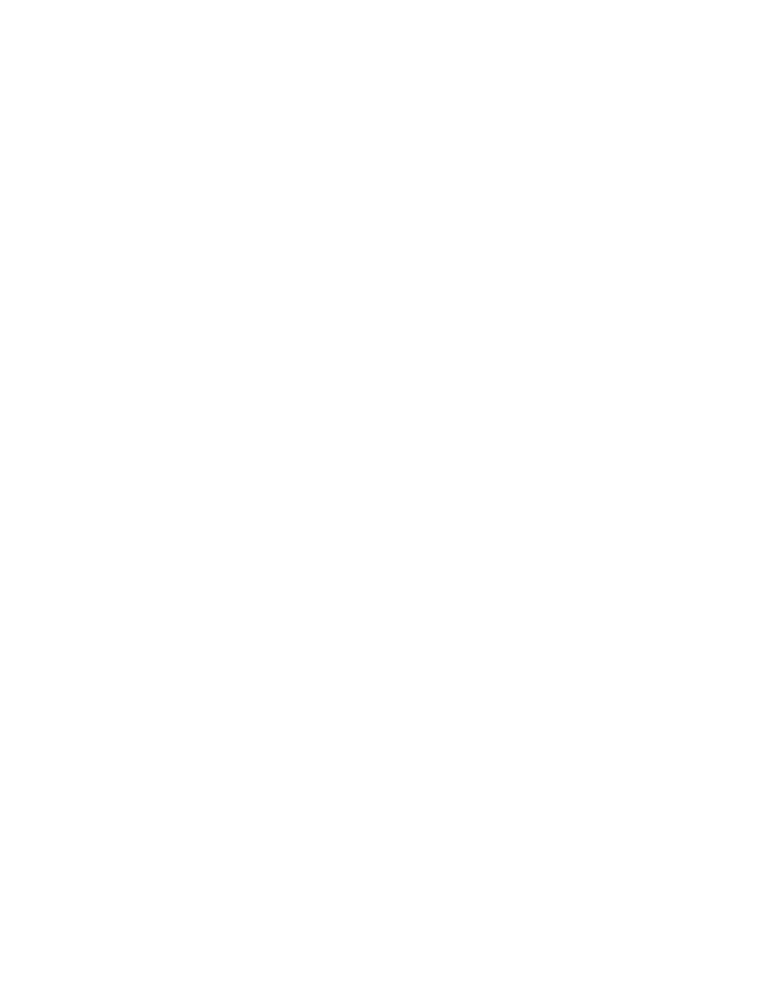|            |      |                  | 6) |  | %DVHSFRUH 30D HU 6FRUHE %DWMQJ 2 UGHU<br>$\begin{array}{cccccc} & & & & 8+8 & & & 6 \\ + & & 8 & + & & 6 & +8 \\ + & 3 & \sqrt{3} & \sqrt{3} & \sqrt{3} & \sqrt{3} & \sqrt{4} & \sqrt{4} & \sqrt{3} & \sqrt{5} \\ + & 3 & \sqrt{6} & \sqrt{3} & \sqrt{3} & \sqrt{4} & \sqrt{4} & \sqrt{5} & \sqrt{5} & \sqrt{5} & \sqrt{5} \\ + & 3 & \sqrt{6} & \sqrt{6} & \sqrt{6} & \sqrt{6} & \sqrt{6} & \sqrt{6} & \sqrt{6} & \sqrt{6} \\ + & 3 & \sqrt{6} & \sqrt{6} & \$ |  |  |
|------------|------|------------------|----|--|-----------------------------------------------------------------------------------------------------------------------------------------------------------------------------------------------------------------------------------------------------------------------------------------------------------------------------------------------------------------------------------------------------------------------------------------------------------------|--|--|
|            |      |                  |    |  | %DW2 UGHU                                                                                                                                                                                                                                                                                                                                                                                                                                                       |  |  |
| 300 HU     | 7HDP | 3 RVIMRQ         |    |  |                                                                                                                                                                                                                                                                                                                                                                                                                                                                 |  |  |
| & UDZ IRUG | 6)   | 66               |    |  |                                                                                                                                                                                                                                                                                                                                                                                                                                                                 |  |  |
| 1 XQH      | 6)   | $\%$             |    |  |                                                                                                                                                                                                                                                                                                                                                                                                                                                                 |  |  |
| 3DJDQ      | 6)   | $\left( \right)$ |    |  |                                                                                                                                                                                                                                                                                                                                                                                                                                                                 |  |  |
| 3DQIN      | 6)   | $\%$             |    |  |                                                                                                                                                                                                                                                                                                                                                                                                                                                                 |  |  |
| 3HQFH      | 6)   | 5)               |    |  |                                                                                                                                                                                                                                                                                                                                                                                                                                                                 |  |  |
| %HOW       | 6)   | % (W             |    |  |                                                                                                                                                                                                                                                                                                                                                                                                                                                                 |  |  |
| %XP JDUCHU | 6)   | 3                |    |  |                                                                                                                                                                                                                                                                                                                                                                                                                                                                 |  |  |
| 3DUNHU     | 6)   | $3+$             |    |  |                                                                                                                                                                                                                                                                                                                                                                                                                                                                 |  |  |
| 3RVH       | 6)   | &                |    |  |                                                                                                                                                                                                                                                                                                                                                                                                                                                                 |  |  |
| 6SDQ       | 6)   | &)               |    |  |                                                                                                                                                                                                                                                                                                                                                                                                                                                                 |  |  |

<u>WICHYDSSOHFRPXVDSSJR</u><br><u>PHDCDOGILIKAHWWDFN</u><br><u>HUIG "PW</u>

|              |    |                  |                        |                  | 6)<br>$8 + 8$<br>: 3 % XPJDLQHU /3 \$ULLHMD 6Y &DVLQDD & +& UHF | 6 FRUH%R[ 300\HU7RW00Y<br>6) # $8+8$ |                                               | %DH IV 7RS & ROMMEXWRULQ & + & ORVV & UDZ IRUGIRU6) LQ ZLQ |                    |
|--------------|----|------------------|------------------------|------------------|-----------------------------------------------------------------|--------------------------------------|-----------------------------------------------|------------------------------------------------------------|--------------------|
| 30 NU        |    | 7HDP 3RVMLIRQ    | %DW<br>$2 \, \text{L}$ | & UHGLIV) RU5 XQ | 3\$ %DVHV                                                       |                                      | %5 %DVHV %DVHV3XVKHG 300 HU6FRUH \$SSHDUDGFHV |                                                            | 3 URGXFWYUW<br>5DM |
| & UDZ IRUG   | 6) | 66               |                        |                  |                                                                 |                                      |                                               |                                                            |                    |
| 1 XQH        | 6) | %                |                        |                  |                                                                 |                                      |                                               |                                                            |                    |
| 3DJDQ        | 6) | $\left( \right)$ |                        |                  |                                                                 |                                      |                                               |                                                            |                    |
| 3DQIN        | 6) | $\%$             |                        |                  |                                                                 |                                      |                                               |                                                            |                    |
| 3HQHH        | 6) | 5)               |                        |                  |                                                                 |                                      |                                               |                                                            |                    |
| %HOW         | 6) | % (W             |                        |                  |                                                                 |                                      |                                               |                                                            |                    |
| %XPJDLQHU 6) |    | 3                |                        |                  |                                                                 |                                      |                                               |                                                            |                    |
| 3DUN-U       | 6) | $3+$             |                        |                  |                                                                 |                                      |                                               |                                                            |                    |
| 3RVH         | 6) | &                |                        |                  |                                                                 |                                      |                                               |                                                            |                    |
| 6 SDQ        | 6) | &)               |                        |                  |                                                                 |                                      |                                               |                                                            |                    |
| 7RWDOV       |    |                  |                        |                  |                                                                 |                                      |                                               |                                                            |                    |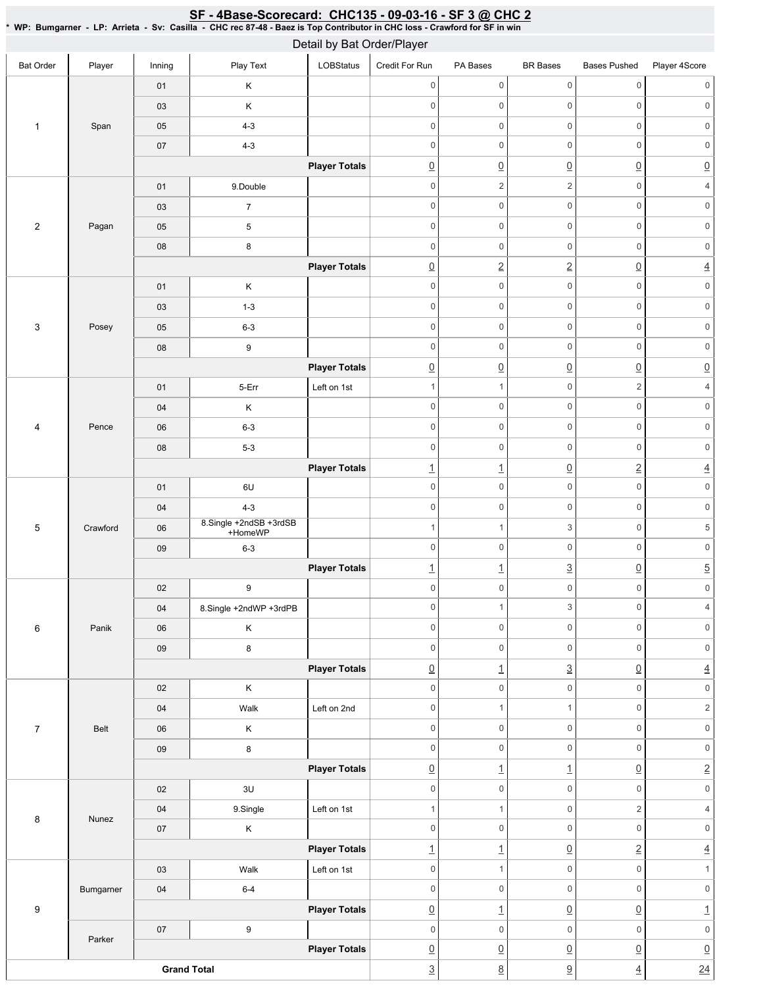## Bat Order | Player | Inning | PlayText | LOBStatus Credit For Run PA Bases BR Bases Bases Pushed Player 4Score 1 Span 01 K 03 K 05 4-3 07 4-3 **Player Totals** 2 Pagan 01 9.Double 03 7 05 5 08 8 **Player Totals** 3 Posey 01 K 03 1-3 05 6-3 08 9 **Player Totals** 4 Pence 01 | 5-Err | Left on 1st 04 K 06 6-3 08 5-3 **Player Totals** 5 Crawford 01 6U 04 4-3 06 8.Single+2ndSB+3rdSB +HomeWP 09 6-3 **Player Totals** 6 Panik 02 9 04 8.Single +2ndWP +3rdPB 06 K 09 8 **Player Totals** 7 Belt 02 K 04 | Walk Left on 2nd 06 K 09 8 **Player Totals** 8 Nunez 02 3U 04 9.Single Left on 1st 07 K **Player Totals** 9 Bumgarner 03 | Walk Left on 1st 04 6-4 **Player Totals** Parker 07 9 **Player Totals Grand Total** 0 0 0 0 0 0 0 0 0 0 0 0 0 0 0 0 0 0 0 0 0 0 0 0  $\overline{0}$   $\overline{0}$   $\overline{0}$   $\overline{0}$   $\overline{0}$   $\overline{0}$   $\overline{0}$  $0 \qquad \qquad 2 \qquad \qquad 2 \qquad \qquad 0 \qquad \qquad 4$ 0 0 0 0 0 0 0 0 0 0 0 0 0 0 0 0 0 0 0 2 2 0 4 0 0 0 0 0 0 0 0 0 0 0 0 0 0 0 0 0 0 0 0 0 0 0 0  $\overline{0}$   $\overline{0}$   $\overline{0}$   $\overline{0}$   $\overline{0}$   $\overline{0}$   $\overline{0}$ 1 1 0 2 4 0 0 0 0 0 0 0 0 0 0 0 0 0 0 0 0 0 0 1  $\begin{array}{ccc} 1 & 1 & 0 & 2 & 4 \end{array}$ 0 0 0 0 0 0 0 0 0 0 0 0 1 1 3 0 5 0 0 0 0 0 0  $\frac{1}{1}$   $\frac{3}{1}$   $\frac{0}{5}$ 0 0 0 0 0 0 0 1 3 0 4 0 0 0 0 0 0 0 0 0 0 0 0  $\boxed{0}$  1  $\boxed{3}$   $\boxed{0}$  4 0 0 0 0 0 0 0 1 1 0 2 0 0 0 0 0 0 0 0 0 0 0 0 0 1 1 0 2 0 0 0 0 0 0 1 1 0 2 4 0 0 0 0 0 0 1 1 0 2 4 0 0 0 1 0 0 0 0 0 0  $\Omega$  1 0 0  $\Omega$  1 0 0 0 0 0 0  $\overline{0}$   $\overline{0}$   $\overline{0}$   $\overline{0}$   $\overline{0}$   $\overline{0}$   $\overline{0}$  $\frac{3}{2}$  8 9 4 24 Detail by Bat Order/Player

## SF - 4Base-Scorecard: CHC135 - 09-03-16 - SF 3 @ CHC 2

\* WP: Bumgarner-LP: Arrieta- Sv: Casilla- CHC rec 87-48 - Baez is Top Contributor in CHC loss - Crawford for SF in win